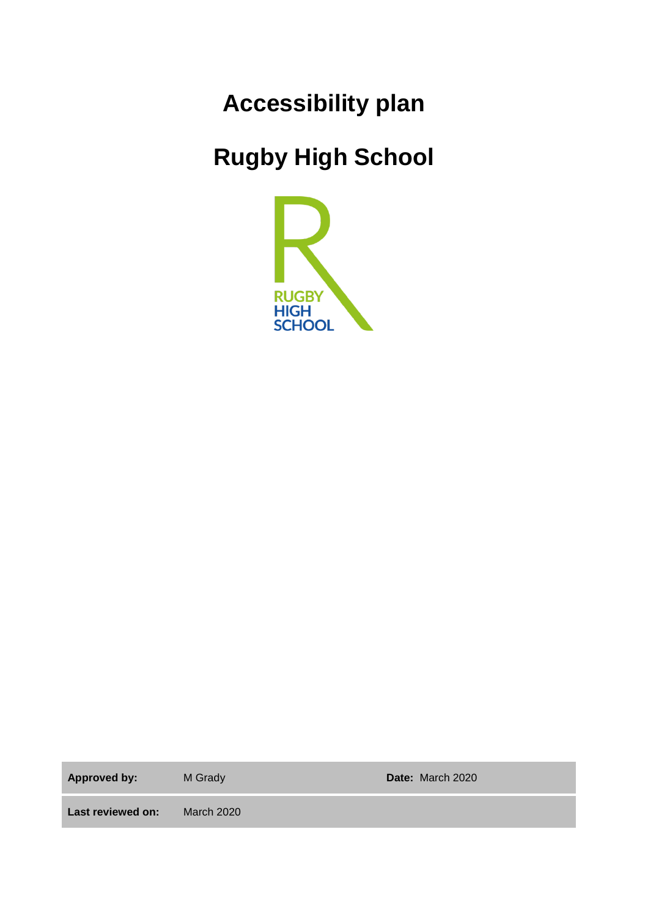# **Accessibility plan**

# **Rugby High School**



**Approved by:** M Grady **Date:** March 2020

**Last reviewed on:** March 2020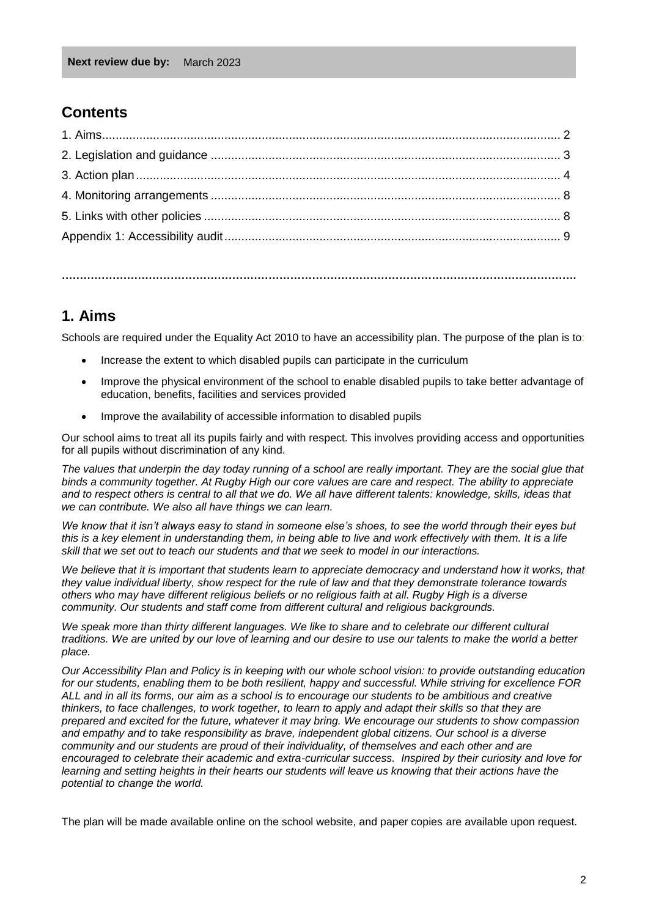#### **Contents**

**…………………………………………………………………………………………………………………………….**

#### **1. Aims**

Schools are required under the Equality Act 2010 to have an accessibility plan. The purpose of the plan is to:

- Increase the extent to which disabled pupils can participate in the curriculum
- Improve the physical environment of the school to enable disabled pupils to take better advantage of education, benefits, facilities and services provided
- Improve the availability of accessible information to disabled pupils

Our school aims to treat all its pupils fairly and with respect. This involves providing access and opportunities for all pupils without discrimination of any kind.

The values that underpin the day today running of a school are really important. They are the social glue that *binds a community together. At Rugby High our core values are care and respect. The ability to appreciate and to respect others is central to all that we do. We all have different talents: knowledge, skills, ideas that we can contribute. We also all have things we can learn.* 

*We know that it isn't always easy to stand in someone else's shoes, to see the world through their eyes but this is a key element in understanding them, in being able to live and work effectively with them. It is a life skill that we set out to teach our students and that we seek to model in our interactions.* 

We believe that it is important that students learn to appreciate democracy and understand how it works, that *they value individual liberty, show respect for the rule of law and that they demonstrate tolerance towards others who may have different religious beliefs or no religious faith at all. Rugby High is a diverse community. Our students and staff come from different cultural and religious backgrounds.* 

*We speak more than thirty different languages. We like to share and to celebrate our different cultural traditions. We are united by our love of learning and our desire to use our talents to make the world a better place.* 

*Our Accessibility Plan and Policy is in keeping with our whole school vision: to provide outstanding education for our students, enabling them to be both resilient, happy and successful. While striving for excellence FOR ALL and in all its forms, our aim as a school is to encourage our students to be ambitious and creative thinkers, to face challenges, to work together, to learn to apply and adapt their skills so that they are prepared and excited for the future, whatever it may bring. We encourage our students to show compassion and empathy and to take responsibility as brave, independent global citizens. Our school is a diverse community and our students are proud of their individuality, of themselves and each other and are encouraged to celebrate their academic and extra-curricular success. Inspired by their curiosity and love for learning and setting heights in their hearts our students will leave us knowing that their actions have the potential to change the world.* 

The plan will be made available online on the school website, and paper copies are available upon request.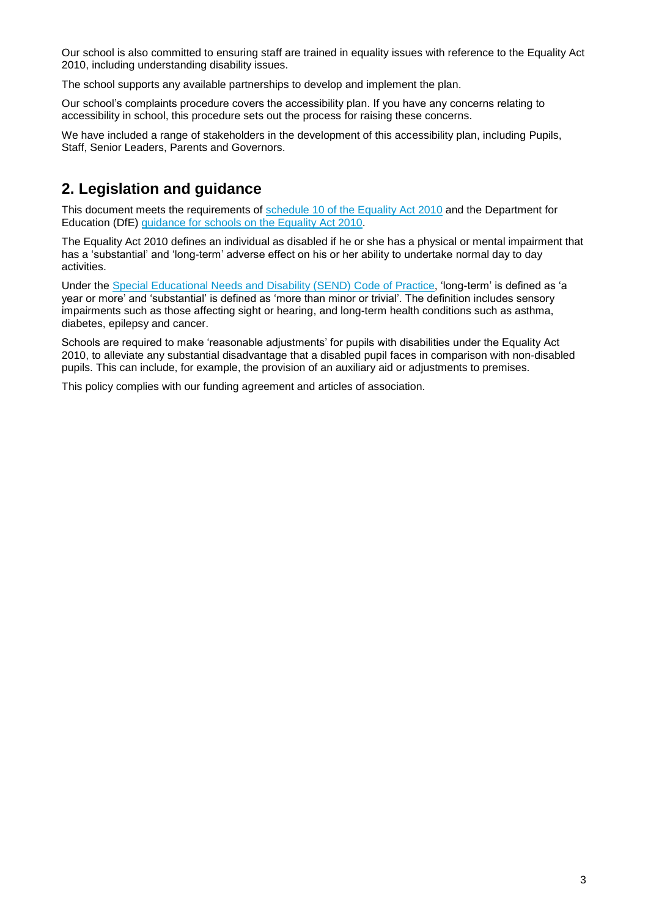Our school is also committed to ensuring staff are trained in equality issues with reference to the Equality Act 2010, including understanding disability issues.

The school supports any available partnerships to develop and implement the plan.

Our school's complaints procedure covers the accessibility plan. If you have any concerns relating to accessibility in school, this procedure sets out the process for raising these concerns.

We have included a range of stakeholders in the development of this accessibility plan, including Pupils, Staff, Senior Leaders, Parents and Governors.

### **2. Legislation and guidance**

This document meets the requirements of [schedule 10 of the Equality Act 2010](http://www.legislation.gov.uk/ukpga/2010/15/schedule/10) and the Department for Education (DfE) [guidance for schools on the Equality Act 2010.](https://www.gov.uk/government/publications/equality-act-2010-advice-for-schools)

The Equality Act 2010 defines an individual as disabled if he or she has a physical or mental impairment that has a 'substantial' and 'long-term' adverse effect on his or her ability to undertake normal day to day activities.

Under the [Special Educational Needs and Disability \(SEND\) Code of Practice,](https://www.gov.uk/government/publications/send-code-of-practice-0-to-25) 'long-term' is defined as 'a year or more' and 'substantial' is defined as 'more than minor or trivial'. The definition includes sensory impairments such as those affecting sight or hearing, and long-term health conditions such as asthma, diabetes, epilepsy and cancer.

Schools are required to make 'reasonable adjustments' for pupils with disabilities under the Equality Act 2010, to alleviate any substantial disadvantage that a disabled pupil faces in comparison with non-disabled pupils. This can include, for example, the provision of an auxiliary aid or adjustments to premises.

This policy complies with our funding agreement and articles of association.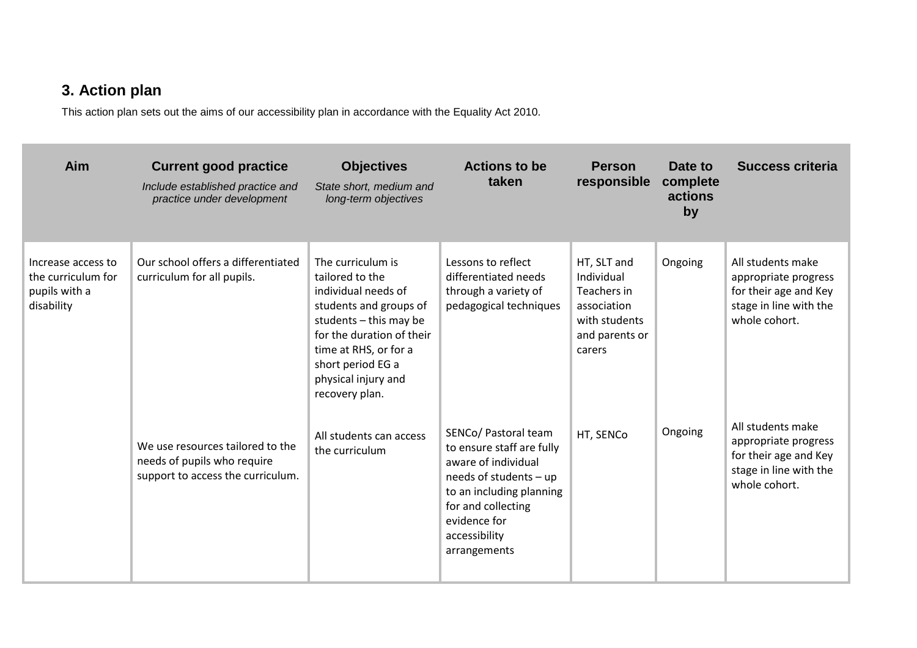## **3. Action plan**

This action plan sets out the aims of our accessibility plan in accordance with the Equality Act 2010.

| Aim                                                                     | <b>Current good practice</b><br>Include established practice and<br>practice under development       | <b>Objectives</b><br>State short, medium and<br>long-term objectives                                                                                                                                                                  | <b>Actions to be</b><br>taken                                                                                                                                                                         | <b>Person</b><br>responsible                                                                         | Date to<br>complete<br>actions<br>by | Success criteria                                                                                              |
|-------------------------------------------------------------------------|------------------------------------------------------------------------------------------------------|---------------------------------------------------------------------------------------------------------------------------------------------------------------------------------------------------------------------------------------|-------------------------------------------------------------------------------------------------------------------------------------------------------------------------------------------------------|------------------------------------------------------------------------------------------------------|--------------------------------------|---------------------------------------------------------------------------------------------------------------|
| Increase access to<br>the curriculum for<br>pupils with a<br>disability | Our school offers a differentiated<br>curriculum for all pupils.                                     | The curriculum is<br>tailored to the<br>individual needs of<br>students and groups of<br>students $-$ this may be<br>for the duration of their<br>time at RHS, or for a<br>short period EG a<br>physical injury and<br>recovery plan. | Lessons to reflect<br>differentiated needs<br>through a variety of<br>pedagogical techniques                                                                                                          | HT, SLT and<br>Individual<br>Teachers in<br>association<br>with students<br>and parents or<br>carers | Ongoing                              | All students make<br>appropriate progress<br>for their age and Key<br>stage in line with the<br>whole cohort. |
|                                                                         | We use resources tailored to the<br>needs of pupils who require<br>support to access the curriculum. | All students can access<br>the curriculum                                                                                                                                                                                             | SENCo/ Pastoral team<br>to ensure staff are fully<br>aware of individual<br>needs of students - up<br>to an including planning<br>for and collecting<br>evidence for<br>accessibility<br>arrangements | HT, SENCo                                                                                            | Ongoing                              | All students make<br>appropriate progress<br>for their age and Key<br>stage in line with the<br>whole cohort. |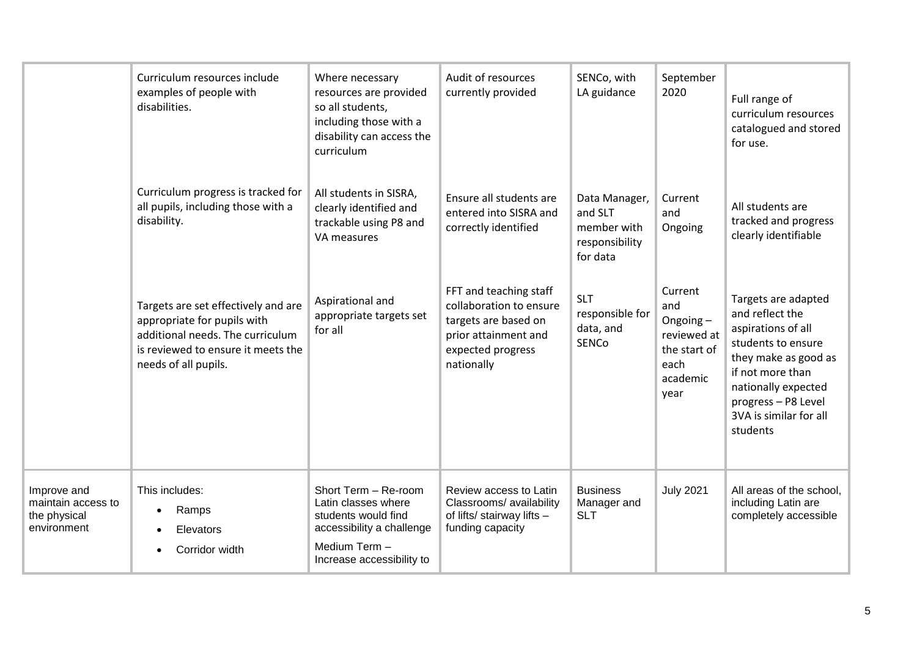|                                                                  | Curriculum resources include<br>examples of people with<br>disabilities.                                                                                             | Where necessary<br>resources are provided<br>so all students,<br>including those with a<br>disability can access the<br>curriculum            | Audit of resources<br>currently provided                                                                                             | SENCo, with<br>LA guidance                                            | September<br>2020                                                                     | Full range of<br>curriculum resources<br>catalogued and stored<br>for use.                                                                                                                                         |
|------------------------------------------------------------------|----------------------------------------------------------------------------------------------------------------------------------------------------------------------|-----------------------------------------------------------------------------------------------------------------------------------------------|--------------------------------------------------------------------------------------------------------------------------------------|-----------------------------------------------------------------------|---------------------------------------------------------------------------------------|--------------------------------------------------------------------------------------------------------------------------------------------------------------------------------------------------------------------|
|                                                                  | Curriculum progress is tracked for<br>all pupils, including those with a<br>disability.                                                                              | All students in SISRA,<br>clearly identified and<br>trackable using P8 and<br>VA measures                                                     | Ensure all students are<br>entered into SISRA and<br>correctly identified                                                            | Data Manager,<br>and SLT<br>member with<br>responsibility<br>for data | Current<br>and<br>Ongoing                                                             | All students are<br>tracked and progress<br>clearly identifiable                                                                                                                                                   |
|                                                                  | Targets are set effectively and are<br>appropriate for pupils with<br>additional needs. The curriculum<br>is reviewed to ensure it meets the<br>needs of all pupils. | Aspirational and<br>appropriate targets set<br>for all                                                                                        | FFT and teaching staff<br>collaboration to ensure<br>targets are based on<br>prior attainment and<br>expected progress<br>nationally | <b>SLT</b><br>responsible for<br>data, and<br>SENCo                   | Current<br>and<br>Ongoing-<br>reviewed at<br>the start of<br>each<br>academic<br>year | Targets are adapted<br>and reflect the<br>aspirations of all<br>students to ensure<br>they make as good as<br>if not more than<br>nationally expected<br>progress - P8 Level<br>3VA is similar for all<br>students |
| Improve and<br>maintain access to<br>the physical<br>environment | This includes:<br>Ramps<br>Elevators<br>Corridor width                                                                                                               | Short Term - Re-room<br>Latin classes where<br>students would find<br>accessibility a challenge<br>Medium Term -<br>Increase accessibility to | Review access to Latin<br>Classrooms/ availability<br>of lifts/ stairway lifts -<br>funding capacity                                 | <b>Business</b><br>Manager and<br><b>SLT</b>                          | <b>July 2021</b>                                                                      | All areas of the school,<br>including Latin are<br>completely accessible                                                                                                                                           |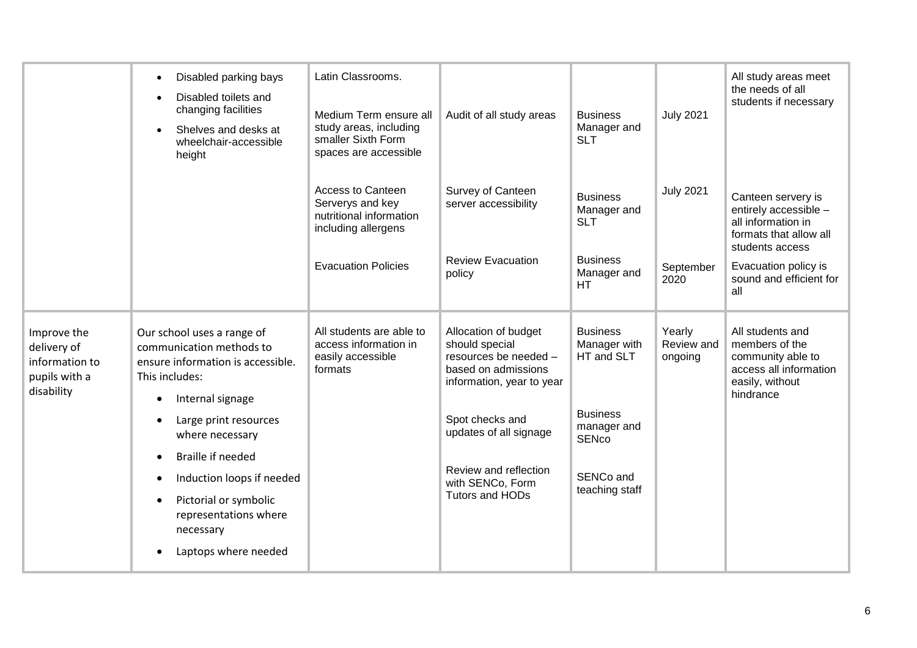|                                                                             | Disabled parking bays<br>$\bullet$<br>Disabled toilets and<br>$\bullet$<br>changing facilities<br>Shelves and desks at<br>$\bullet$<br>wheelchair-accessible<br>height                   | Latin Classrooms.<br>Medium Term ensure all<br>study areas, including<br>smaller Sixth Form<br>spaces are accessible         | Audit of all study areas                                                                                            | <b>Business</b><br>Manager and<br><b>SLT</b>                                   | <b>July 2021</b>                | All study areas meet<br>the needs of all<br>students if necessary                                                                      |
|-----------------------------------------------------------------------------|------------------------------------------------------------------------------------------------------------------------------------------------------------------------------------------|------------------------------------------------------------------------------------------------------------------------------|---------------------------------------------------------------------------------------------------------------------|--------------------------------------------------------------------------------|---------------------------------|----------------------------------------------------------------------------------------------------------------------------------------|
|                                                                             |                                                                                                                                                                                          | <b>Access to Canteen</b><br>Serverys and key<br>nutritional information<br>including allergens<br><b>Evacuation Policies</b> | Survey of Canteen<br>server accessibility<br><b>Review Evacuation</b>                                               | <b>Business</b><br>Manager and<br><b>SLT</b><br><b>Business</b><br>Manager and | <b>July 2021</b><br>September   | Canteen servery is<br>entirely accessible -<br>all information in<br>formats that allow all<br>students access<br>Evacuation policy is |
|                                                                             |                                                                                                                                                                                          |                                                                                                                              | policy                                                                                                              | <b>HT</b>                                                                      | 2020                            | sound and efficient for<br>all                                                                                                         |
| Improve the<br>delivery of<br>information to<br>pupils with a<br>disability | Our school uses a range of<br>communication methods to<br>ensure information is accessible.<br>This includes:<br>Internal signage<br>$\bullet$                                           | All students are able to<br>access information in<br>easily accessible<br>formats                                            | Allocation of budget<br>should special<br>resources be needed -<br>based on admissions<br>information, year to year | <b>Business</b><br>Manager with<br>HT and SLT                                  | Yearly<br>Review and<br>ongoing | All students and<br>members of the<br>community able to<br>access all information<br>easily, without<br>hindrance                      |
|                                                                             | Large print resources<br>$\bullet$<br>where necessary                                                                                                                                    |                                                                                                                              | Spot checks and<br>updates of all signage                                                                           | <b>Business</b><br>manager and<br><b>SENco</b>                                 |                                 |                                                                                                                                        |
|                                                                             | <b>Braille if needed</b><br>$\bullet$<br>Induction loops if needed<br>٠<br>Pictorial or symbolic<br>$\bullet$<br>representations where<br>necessary<br>Laptops where needed<br>$\bullet$ |                                                                                                                              | Review and reflection<br>with SENCo, Form<br>Tutors and HODs                                                        | SENCo and<br>teaching staff                                                    |                                 |                                                                                                                                        |
|                                                                             |                                                                                                                                                                                          |                                                                                                                              |                                                                                                                     |                                                                                |                                 |                                                                                                                                        |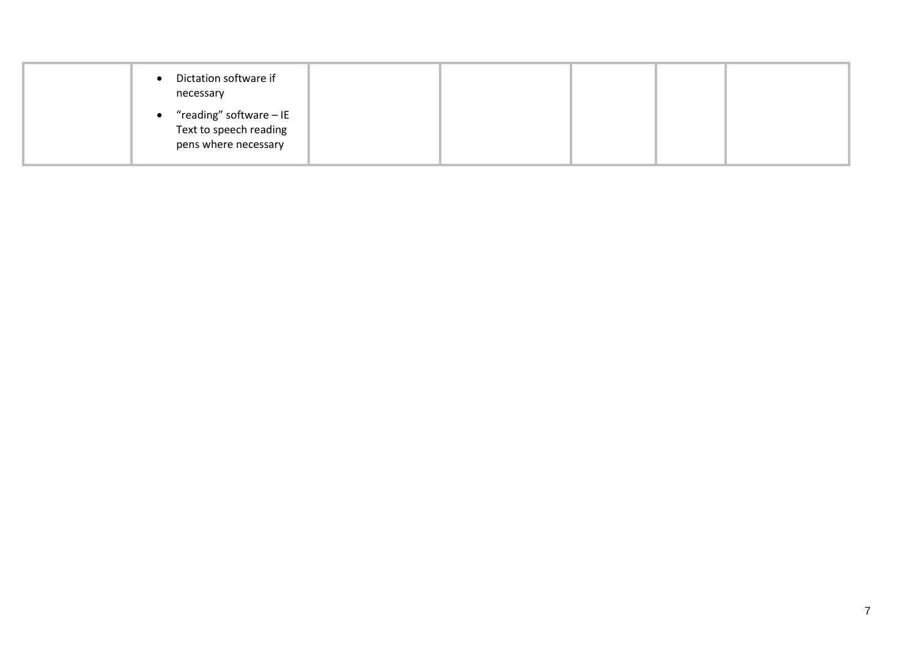| Dictation software if<br>$\bullet$<br>necessary                                        |  |  |
|----------------------------------------------------------------------------------------|--|--|
| "reading" software - IE<br>$\bullet$<br>Text to speech reading<br>pens where necessary |  |  |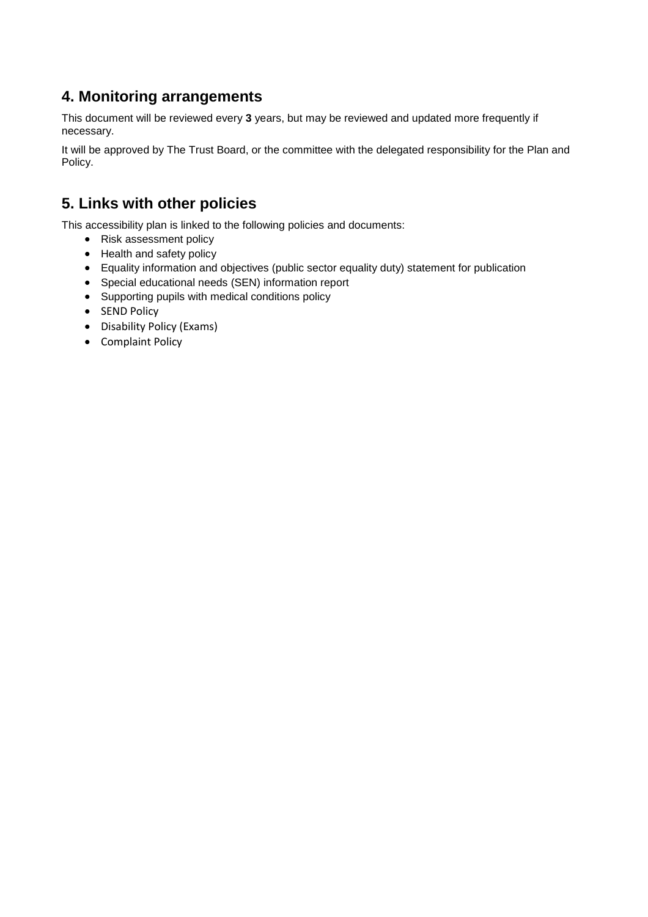### **4. Monitoring arrangements**

This document will be reviewed every **3** years, but may be reviewed and updated more frequently if necessary.

It will be approved by The Trust Board, or the committee with the delegated responsibility for the Plan and Policy.

### **5. Links with other policies**

This accessibility plan is linked to the following policies and documents:

- Risk assessment policy
- Health and safety policy
- Equality information and objectives (public sector equality duty) statement for publication
- Special educational needs (SEN) information report
- Supporting pupils with medical conditions policy
- SEND Policy
- Disability Policy (Exams)
- Complaint Policy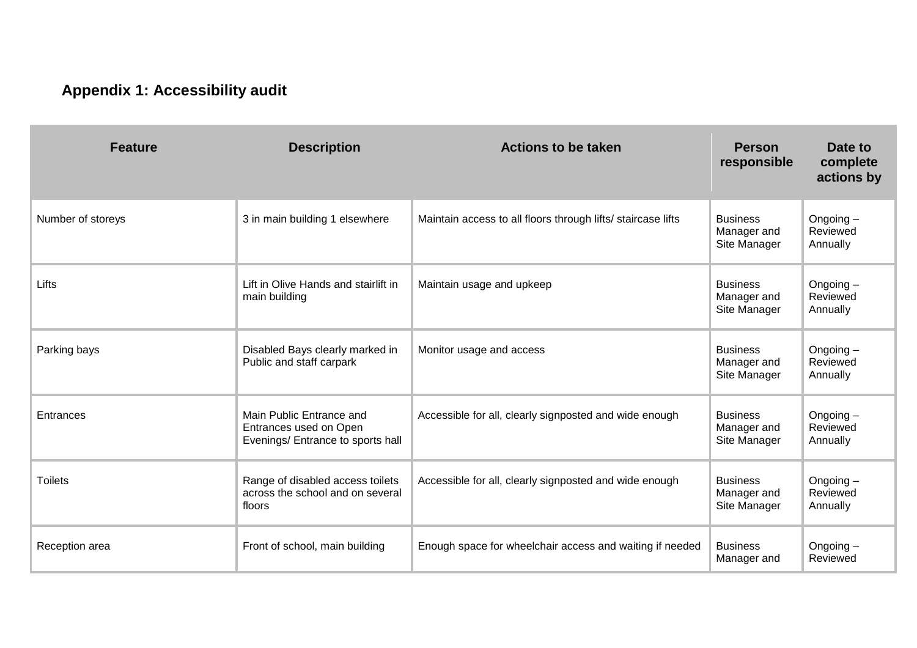## **Appendix 1: Accessibility audit**

| <b>Feature</b>    | <b>Description</b>                                                                      | <b>Actions to be taken</b>                                   | <b>Person</b><br>responsible                   | Date to<br>complete<br>actions by   |
|-------------------|-----------------------------------------------------------------------------------------|--------------------------------------------------------------|------------------------------------------------|-------------------------------------|
| Number of storeys | 3 in main building 1 elsewhere                                                          | Maintain access to all floors through lifts/ staircase lifts | <b>Business</b><br>Manager and<br>Site Manager | Ongoing-<br>Reviewed<br>Annually    |
| Lifts             | Lift in Olive Hands and stairlift in<br>main building                                   | Maintain usage and upkeep                                    | <b>Business</b><br>Manager and<br>Site Manager | Ongoing $-$<br>Reviewed<br>Annually |
| Parking bays      | Disabled Bays clearly marked in<br>Public and staff carpark                             | Monitor usage and access                                     | <b>Business</b><br>Manager and<br>Site Manager | Ongoing $-$<br>Reviewed<br>Annually |
| Entrances         | Main Public Entrance and<br>Entrances used on Open<br>Evenings/ Entrance to sports hall | Accessible for all, clearly signposted and wide enough       | <b>Business</b><br>Manager and<br>Site Manager | Ongoing $-$<br>Reviewed<br>Annually |
| <b>Toilets</b>    | Range of disabled access toilets<br>across the school and on several<br>floors          | Accessible for all, clearly signposted and wide enough       | <b>Business</b><br>Manager and<br>Site Manager | Ongoing $-$<br>Reviewed<br>Annually |
| Reception area    | Front of school, main building                                                          | Enough space for wheelchair access and waiting if needed     | <b>Business</b><br>Manager and                 | Ongoing $-$<br>Reviewed             |